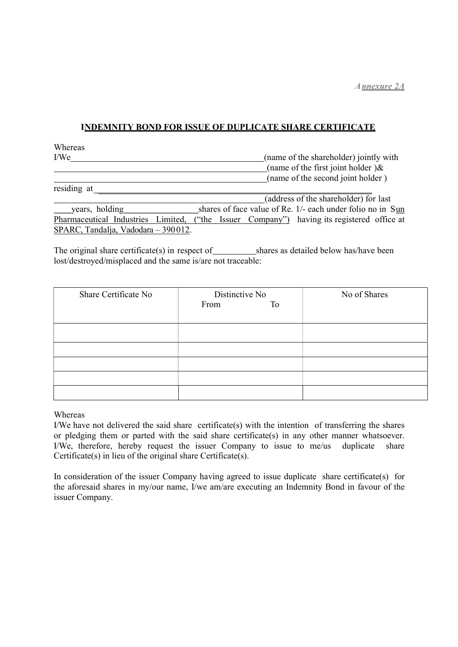### I NDEMNITY BOND FOR ISSUE OF DUPLICATE SHARE CERTIFICATE

Whereas I/We (name of the shareholder) jointly with (name of the first joint holder ) $\&$ (name of the second joint holder )

| residing at                         |  |  |                                                            |  |
|-------------------------------------|--|--|------------------------------------------------------------|--|
|                                     |  |  | (address of the shareholder) for last                      |  |
| years, holding                      |  |  | shares of face value of Re. 1/- each under folio no in Sun |  |
| Pharmaceutical Industries Limited,  |  |  | ("the Issuer Company") having its registered office at     |  |
| SPARC, Tandalja, Vadodara - 390012. |  |  |                                                            |  |

The original share certificate(s) in respect of shares as detailed below has/have been lost/destroyed/misplaced and the same is/are not traceable:

| Share Certificate No | Distinctive No<br>From<br>To | No of Shares |
|----------------------|------------------------------|--------------|
|                      |                              |              |
|                      |                              |              |
|                      |                              |              |
|                      |                              |              |
|                      |                              |              |

#### Whereas

I/We have not delivered the said share certificate(s) with the intention of transferring the shares or pledging them or parted with the said share certificate(s) in any other manner whatsoever. I/We, therefore, hereby request the issuer Company to issue to me/us duplicate share Certificate(s) in lieu of the original share Certificate(s).

In consideration of the issuer Company having agreed to issue duplicate share certificate(s) for the aforesaid shares in my/our name, I/we am/are executing an Indemnity Bond in favour of the issuer Company.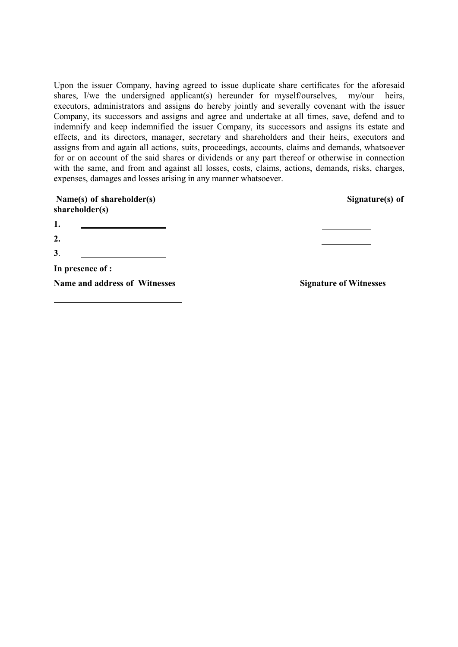Upon the issuer Company, having agreed to issue duplicate share certificates for the aforesaid shares, I/we the undersigned applicant(s) hereunder for myself/ourselves, my/our heirs, executors, administrators and assigns do hereby jointly and severally covenant with the issuer Company, its successors and assigns and agree and undertake at all times, save, defend and to indemnify and keep indemnified the issuer Company, its successors and assigns its estate and effects, and its directors, manager, secretary and shareholders and their heirs, executors and assigns from and again all actions, suits, proceedings, accounts, claims and demands, whatsoever for or on account of the said shares or dividends or any part thereof or otherwise in connection with the same, and from and against all losses, costs, claims, actions, demands, risks, charges, expenses, damages and losses arising in any manner whatsoever.

| Name(s) of shareholder(s)<br>shareholder(s) | Signature(s) of               |  |
|---------------------------------------------|-------------------------------|--|
| 1.                                          |                               |  |
| 2.                                          |                               |  |
| 3.                                          |                               |  |
| In presence of :                            |                               |  |
| Name and address of Witnesses               | <b>Signature of Witnesses</b> |  |
|                                             |                               |  |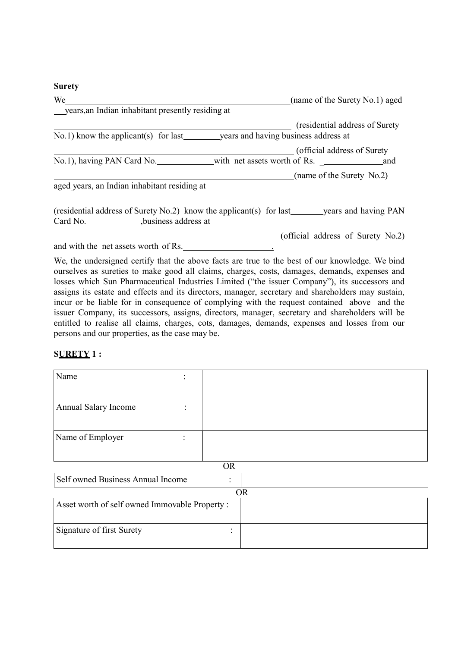# **Surety**

| We                                                                                                | (name of the Surety No.1) aged    |
|---------------------------------------------------------------------------------------------------|-----------------------------------|
| years, an Indian inhabitant presently residing at                                                 |                                   |
|                                                                                                   | (residential address of Surety)   |
|                                                                                                   |                                   |
|                                                                                                   | (official address of Surety)      |
|                                                                                                   |                                   |
|                                                                                                   | (name of the Surety No.2)         |
| aged years, an Indian inhabitant residing at                                                      |                                   |
| (residential address of Surety No.2) know the applicant(s) for last ________ years and having PAN |                                   |
| Card No. 5.1. business address at                                                                 |                                   |
|                                                                                                   | (official address of Surety No.2) |
| and with the net assets worth of Rs.                                                              |                                   |

We, the undersigned certify that the above facts are true to the best of our knowledge. We bind ourselves as sureties to make good all claims, charges, costs, damages, demands, expenses and losses which Sun Pharmaceutical Industries Limited ("the issuer Company"), its successors and assigns its estate and effects and its directors, manager, secretary and shareholders may sustain, incur or be liable for in consequence of complying with the request contained above and the issuer Company, its successors, assigns, directors, manager, secretary and shareholders will be entitled to realise all claims, charges, cots, damages, demands, expenses and losses from our persons and our properties, as the case may be.

## **SURETY 1:**

| Name<br>٠<br>$\bullet$                         |                             |  |  |
|------------------------------------------------|-----------------------------|--|--|
|                                                |                             |  |  |
| Annual Salary Income<br>٠<br>$\cdot$           |                             |  |  |
|                                                |                             |  |  |
| Name of Employer                               |                             |  |  |
|                                                |                             |  |  |
| <b>OR</b>                                      |                             |  |  |
| Self owned Business Annual Income              |                             |  |  |
| <b>OR</b>                                      |                             |  |  |
| Asset worth of self owned Immovable Property : |                             |  |  |
|                                                |                             |  |  |
| Signature of first Surety                      | $\bullet$<br>$\blacksquare$ |  |  |
|                                                |                             |  |  |